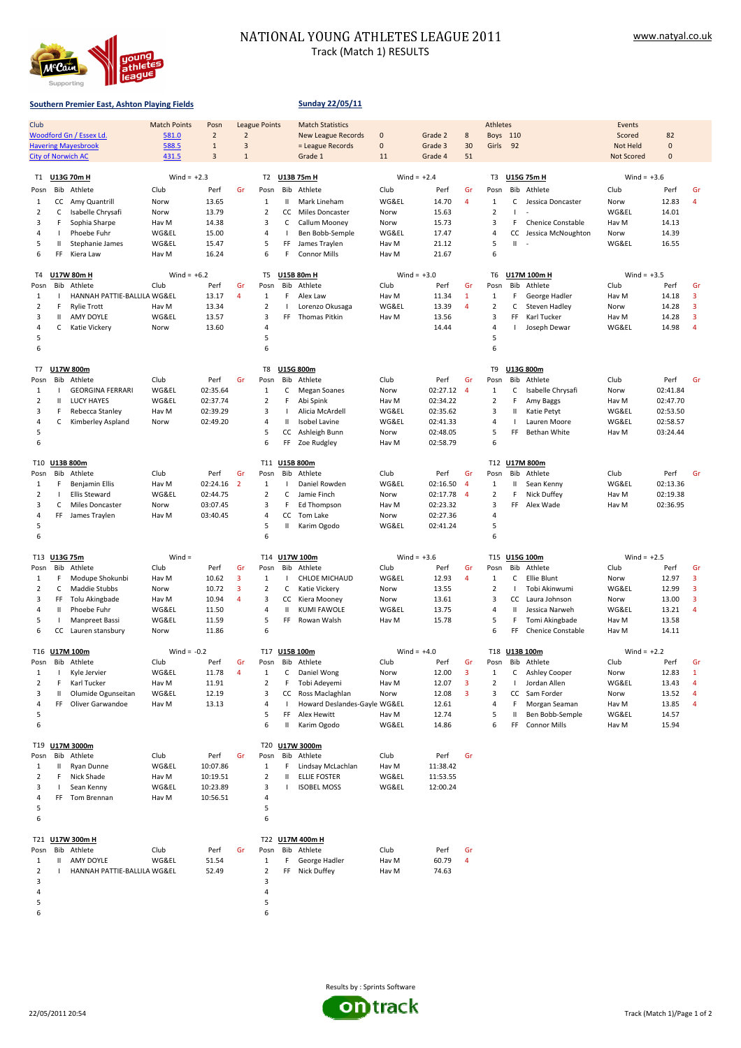

## NATIONAL YOUNG ATHLETES LEAGUE 2011 Track (Match 1) RESULTS

### **Southern Premier East, Ashton Playing Fields**

## **Sunday 22/05/11**

| Club                                                   |                                                        | Woodford Gn / Essex Ld.<br><b>Havering Mayesbrook</b><br><b>City of Norwich AC</b>                                                 | <b>Match Points</b><br>581.0<br>588.5<br>431.5                            | Posn<br>$\overline{2}$<br>$\mathbf{1}$<br>3                | $\overline{2}$<br>$\overline{3}$<br>$\mathbf{1}$ | <b>League Points</b>                                                    |                                      | <b>Match Statistics</b><br><b>New League Records</b><br>= League Records<br>Grade 1                                                             | $\mathbf 0$<br>$\pmb{0}$<br>11                                            | Grade 2<br>Grade 3<br>Grade 4                                                | $\bf 8$<br>30<br>51                           | Athletes<br>Boys 110<br>Girls                                       | 92                                   |                                                                                                                                              | Events<br>Scored<br>Not Held<br>Not Scored                                | 82<br>$\mathbf 0$<br>$\mathbf 0$                                 |                                                           |
|--------------------------------------------------------|--------------------------------------------------------|------------------------------------------------------------------------------------------------------------------------------------|---------------------------------------------------------------------------|------------------------------------------------------------|--------------------------------------------------|-------------------------------------------------------------------------|--------------------------------------|-------------------------------------------------------------------------------------------------------------------------------------------------|---------------------------------------------------------------------------|------------------------------------------------------------------------------|-----------------------------------------------|---------------------------------------------------------------------|--------------------------------------|----------------------------------------------------------------------------------------------------------------------------------------------|---------------------------------------------------------------------------|------------------------------------------------------------------|-----------------------------------------------------------|
| T1<br>Posn<br>1<br>$\overline{2}$<br>3<br>4<br>5<br>6  | C<br>F<br>J.<br>Ш<br>FF                                | U13G 70m H<br>Bib Athlete<br>CC Amy Quantrill<br>Isabelle Chrysafi<br>Sophia Sharpe<br>Phoebe Fuhr<br>Stephanie James<br>Kiera Law | Wind = $+2.3$<br>Club<br>Norw<br>Norw<br>Hav M<br>WG&EL<br>WG&EL<br>Hav M | Perf<br>13.65<br>13.79<br>14.38<br>15.00<br>15.47<br>16.24 | Gr                                               | Posn<br>1<br>$\overline{2}$<br>$\overline{\mathbf{3}}$<br>4<br>5<br>6   | Bib<br>Ш<br>СC<br>C<br>FF<br>F       | T2 U13B 75m H<br>Athlete<br>Mark Lineham<br>Miles Doncaster<br>Callum Mooney<br>Ben Bobb-Semple<br>James Traylen<br><b>Connor Mills</b>         | Wind = $+2.4$<br>Club<br>WG&EL<br>Norw<br>Norw<br>WG&EL<br>Hav M<br>Hav M | Perf<br>14.70<br>15.63<br>15.73<br>17.47<br>21.12<br>21.67                   | Gr<br>4                                       | T <sub>3</sub><br>Posn<br>1<br>$\overline{2}$<br>3<br>4<br>5<br>6   | Bib<br>с<br>F<br>CC<br>Ш.            | U15G 75m H<br>Athlete<br>Jessica Doncaster<br><b>Chenice Constable</b><br>Jessica McNoughton                                                 | Wind = $+3.6$<br>Club<br>Norw<br>WG&EL<br>Hav M<br>Norw<br>WG&EL          | Perf<br>12.83<br>14.01<br>14.13<br>14.39<br>16.55                | Gr<br>$\overline{4}$                                      |
| T4<br>Posn<br>1<br>$\overline{2}$<br>3<br>4<br>5<br>6  | Bib<br>$\mathbf{I}$<br>F<br>Ш<br>С                     | U17W 80m H<br>Athlete<br>HANNAH PATTIE-BALLILA WG&EL<br><b>Rylie Trott</b><br>AMY DOYLE<br>Katie Vickery                           | Wind = $+6.2$<br>Club<br>Hav M<br>WG&EL<br>Norw                           | Perf<br>13.17<br>13.34<br>13.57<br>13.60                   | Gr<br>4                                          | T5<br>Posn<br>1<br>$\overline{2}$<br>3<br>$\overline{4}$<br>5<br>6      | Bib<br>F<br>FF                       | U15B 80m H<br>Athlete<br>Alex Law<br>Lorenzo Okusaga<br><b>Thomas Pitkin</b>                                                                    | Wind = $+3.0$<br>Club<br>Hav M<br>WG&EL<br>Hav M                          | Perf<br>11.34<br>13.39<br>13.56<br>14.44                                     | Gr<br>$\mathbf{1}$<br>$\overline{\mathbf{4}}$ | T6<br>Posn<br>1<br>$\overline{2}$<br>3<br>4<br>5<br>6               | Bib<br>F<br>C<br>FF                  | U17M 100m H<br>Athlete<br>George Hadler<br>Steven Hadley<br>Karl Tucker<br>Joseph Dewar                                                      | Wind = $+3.5$<br>Club<br>Hav M<br>Norw<br>Hav M<br>WG&EL                  | Perf<br>14.18<br>14.28<br>14.28<br>14.98                         | Gr<br>3<br>$\overline{\mathbf{3}}$<br>3<br>$\overline{4}$ |
| T7<br>Posn<br>1<br>$\overline{2}$<br>3<br>4<br>5<br>6  | Bib<br>$\mathbf{H}$<br>F<br>C                          | U17W 800m<br>Athlete<br><b>GEORGINA FERRARI</b><br><b>LUCY HAYES</b><br>Rebecca Stanley<br>Kimberley Aspland                       | Club<br>WG&EL<br>WG&EL<br>Hav M<br>Norw                                   | Perf<br>02:35.64<br>02:37.74<br>02:39.29<br>02:49.20       | Gr                                               | T8<br>Posn<br>$1\,$<br>$\overline{2}$<br>3<br>$\overline{4}$<br>5<br>6  | Bib<br>C<br>F<br>Ш<br>cc<br>FF       | U15G 800m<br>Athlete<br>Megan Soanes<br>Abi Spink<br>Alicia McArdell<br>Isobel Lavine<br>Ashleigh Bunn<br>Zoe Rudgley                           | Club<br>Norw<br>Hav M<br>WG&EL<br>WG&EL<br>Norw<br>Hav M                  | Perf<br>02:27.12<br>02:34.22<br>02:35.62<br>02:41.33<br>02:48.05<br>02:58.79 | Gr<br>$\overline{4}$                          | T <sub>9</sub><br>Posn<br>1<br>$\overline{2}$<br>3<br>4<br>5<br>6   | Bib<br>C<br>F<br>$\mathbf{H}$<br>FF  | U13G 800m<br>Athlete<br>Isabelle Chrysafi<br>Amy Baggs<br>Katie Petyt<br>Lauren Moore<br>Bethan White                                        | Club<br>Norw<br>Hav M<br>WG&EL<br>WG&EL<br>Hav M                          | Perf<br>02:41.84<br>02:47.70<br>02:53.50<br>02:58.57<br>03:24.44 | Gr                                                        |
| T10<br>Posn<br>1<br>$\overline{2}$<br>3<br>4<br>5<br>6 | U13B 800m<br>Bib<br>F<br>C<br>FF                       | Athlete<br>Benjamin Ellis<br><b>Ellis Steward</b><br>Miles Doncaster<br>James Traylen                                              | Club<br>Hav M<br>WG&EL<br>Norw<br>Hav M                                   | Perf<br>02:24.16<br>02:44.75<br>03:07.45<br>03:40.45       | Gr<br>$\overline{2}$                             | T11<br>Posn<br>1<br>$\overline{2}$<br>3<br>$\overline{4}$<br>5<br>6     | Bib<br>с<br>F<br>СC<br>Ш             | U15B 800m<br>Athlete<br>Daniel Rowden<br>Jamie Finch<br>Ed Thompson<br>Tom Lake<br>Karim Ogodo                                                  | Club<br>WG&EL<br>Norw<br>Hav M<br>Norw<br>WG&EL                           | Perf<br>02:16.50<br>02:17.78<br>02:23.32<br>02:27.36<br>02:41.24             | Gr<br>$\overline{4}$<br>$\overline{4}$        | T12<br>Posn<br>1<br>$\overline{2}$<br>3<br>$\overline{4}$<br>5<br>6 | Bib<br>$\mathbf{H}$<br>FF.           | U17M 800m<br>Athlete<br>Sean Kenny<br>Nick Duffey<br>Alex Wade                                                                               | Club<br>WG&EL<br>Hav M<br>Hav M                                           | Perf<br>02:13.36<br>02:19.38<br>02:36.95                         | Gr                                                        |
| T13<br>Posn<br>1<br>$\overline{2}$<br>3<br>4<br>5<br>6 | U13G 75m<br>Bib<br>F<br>C<br>FF.<br>$\mathbf{H}$<br>J. | Athlete<br>Modupe Shokunbi<br>Maddie Stubbs<br>Tolu Akingbade<br>Phoebe Fuhr<br>Manpreet Bassi<br>CC Lauren stansbury              | $Wind =$<br>Club<br>Hav M<br>Norw<br>Hav M<br>WG&EL<br>WG&EL<br>Norw      | Perf<br>10.62<br>10.72<br>10.94<br>11.50<br>11.59<br>11.86 | Gr<br>3<br>3<br>4                                | T14<br>Posn<br>1<br>$\overline{2}$<br>3<br>4<br>5<br>6                  | Bib<br>с<br>СC<br>$\mathbf{I}$<br>FF | U17W 100m<br>Athlete<br>CHLOE MICHAUD<br>Katie Vickery<br>Kiera Mooney<br><b>KUMI FAWOLE</b><br>Rowan Walsh                                     | Wind = $+3.6$<br>Club<br>WG&EL<br>Norw<br>Norw<br>WG&EL<br>Hav M          | Perf<br>12.93<br>13.55<br>13.61<br>13.75<br>15.78                            | Gr<br>4                                       | T15<br>Posn<br>1<br>$\overline{2}$<br>3<br>4<br>5<br>6              | Bib<br>с<br>CC<br>$\mathbf{H}$<br>FF | U15G 100m<br>Athlete<br><b>Ellie Blunt</b><br>Tobi Akinwumi<br>Laura Johnson<br>Jessica Narweh<br>Tomi Akingbade<br><b>Chenice Constable</b> | Wind = $+2.5$<br>Club<br>Norw<br>WG&EL<br>Norw<br>WG&EL<br>Hav M<br>Hav M | Perf<br>12.97<br>12.99<br>13.00<br>13.21<br>13.58<br>14.11       | Gr<br>3<br>3<br>$\overline{3}$<br>$\overline{4}$          |
| T16<br>Posn<br>1<br>2<br>3<br>4<br>5<br>6              | F<br>$\mathbf{H}$<br>FF                                | U17M 100m<br>Bib Athlete<br>Kyle Jervier<br>Karl Tucker<br>Olumide Ogunseitan<br>Oliver Garwandoe                                  | Wind = $-0.2$<br>Club<br>WG&EL<br>Hav M<br>WG&EL<br>Hav M                 | Perf<br>11.78<br>11.91<br>12.19<br>13.13                   | Gr<br>4                                          | T17<br>Posn<br>1<br>$\overline{2}$<br>3<br>4<br>5<br>6                  | FF<br>Ш                              | U15B 100m<br>Bib Athlete<br>C Daniel Wong<br>F Tobi Adeyemi<br>CC Ross Maclaghlan<br>Howard Deslandes-Gayle WG&EL<br>Alex Hewitt<br>Karim Ogodo | Wind = $+4.0$<br>Club<br>Norw<br>Hav M<br>Norw<br>Hav M<br>WG&EL          | Perf<br>12.00<br>12.07<br>12.08<br>12.61<br>12.74<br>14.86                   | Gr<br>$\overline{3}$<br>3<br>3                | T18<br>Posn<br>1<br>$\overline{2}$<br>3<br>4<br>5<br>6              | -1<br>Ш<br>FF                        | U13B 100m<br>Bib Athlete<br>C Ashley Cooper<br>Jordan Allen<br>CC Sam Forder<br>Morgan Seaman<br>Ben Bobb-Semple<br><b>Connor Mills</b>      | Wind = $+2.2$<br>Club<br>Norw<br>WG&EL<br>Norw<br>Hav M<br>WG&EL<br>Hav M | Perf<br>12.83<br>13.43<br>13.52<br>13.85<br>14.57<br>15.94       | Gr<br>$\mathbf{1}$<br>4<br>4<br>4                         |
| T19<br>Posn<br>1<br>2<br>3<br>4<br>5<br>6              | Bib<br>Ш<br>F<br>т.                                    | U17M 3000m<br>Athlete<br>Ryan Dunne<br>Nick Shade<br>Sean Kenny<br>FF Tom Brennan                                                  | Club<br>WG&EL<br>Hav M<br>WG&EL<br>Hav M                                  | Perf<br>10:07.86<br>10:19.51<br>10:23.89<br>10:56.51       | Gr                                               | T20<br>Posn<br>$\mathbf{1}$<br>$\overline{2}$<br>3<br>4<br>5<br>6       | Ш                                    | U17W 3000m<br>Bib Athlete<br>F Lindsay McLachlan<br><b>ELLIE FOSTER</b><br><b>ISOBEL MOSS</b>                                                   | Club<br>Hav M<br>WG&EL<br>WG&EL                                           | Perf<br>11:38.42<br>11:53.55<br>12:00.24                                     | Gr                                            |                                                                     |                                      |                                                                                                                                              |                                                                           |                                                                  |                                                           |
| Posn<br>1<br>2<br>3<br>4<br>5<br>6                     | Ш<br>$\mathbf{L}$                                      | T21 U17W 300m H<br>Bib Athlete<br>AMY DOYLE<br>HANNAH PATTIE-BALLILA WG&EL                                                         | Club<br>WG&EL                                                             | Perf<br>51.54<br>52.49                                     | Gr                                               | Posn<br>$\mathbf{1}$<br>$\overline{2}$<br>3<br>$\overline{4}$<br>5<br>6 | F                                    | T22 U17M 400m H<br>Bib Athlete<br>George Hadler<br>FF Nick Duffey                                                                               | Club<br>Hav M<br>Hav M                                                    | Perf<br>60.79<br>74.63                                                       | Gr<br>4                                       |                                                                     |                                      |                                                                                                                                              |                                                                           |                                                                  |                                                           |

Results by : Sprints Software

ontrack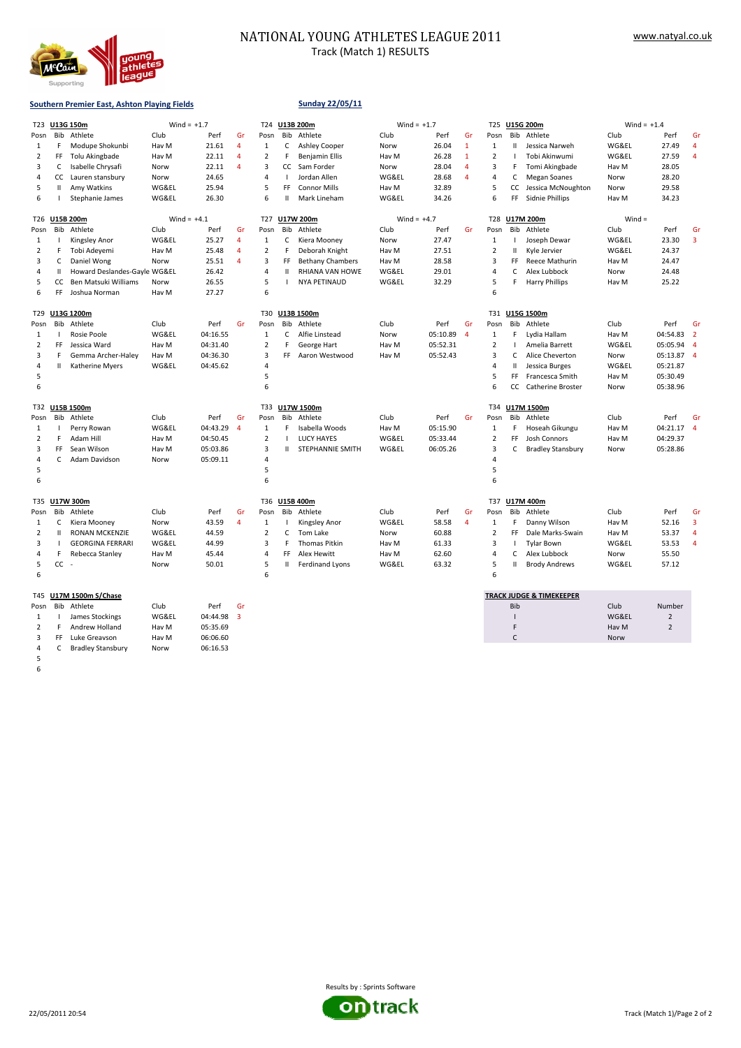

## NATIONAL YOUNG ATHLETES LEAGUE 2011 Track (Match 1) RESULTS

# **Southern Premier East, Ashton Playing Fields Sunday 22/05/11**

|                     | T23 U13G 150m<br>Wind = $+1.7$ |                              |               |                      | T24            |                     | U13B 200m | Wind = $+1.7$           |               | T25      |                | U15G 200m      | Wind = $+1.4$ |                                     |          |                |         |
|---------------------|--------------------------------|------------------------------|---------------|----------------------|----------------|---------------------|-----------|-------------------------|---------------|----------|----------------|----------------|---------------|-------------------------------------|----------|----------------|---------|
| Posn                | Bib                            | Athlete                      | Club          | Perf                 | Gr             | Posn                | Bib       | Athlete                 | Club          | Perf     | Gr             | Posn           | Bib           | Athlete                             | Club     | Perf           | Gr      |
| 1                   | F.                             | Modupe Shokunbi              | Hav M         | 21.61                | $\overline{4}$ | 1                   |           | C Ashley Cooper         | Norw          | 26.04    | 1              | $\mathbf{1}$   | Ш             | Jessica Narweh                      | WG&EL    | 27.49          | 4       |
| $\overline{2}$      | FF                             | Tolu Akingbade               | Hav M         | 22.11                | $\overline{4}$ | $\overline{2}$      | F         | Benjamin Ellis          | Hav M         | 26.28    | $\mathbf{1}$   | $\overline{2}$ |               | Tobi Akinwumi                       | WG&EL    | 27.59          | 4       |
| 3                   | C                              | Isabelle Chrysafi            | Norw          | 22.11                | 4              | 3                   | cc        | Sam Forder              | Norw          | 28.04    | 4              | 3              | F             | Tomi Akingbade                      | Hav M    | 28.05          |         |
| 4                   | CC                             | Lauren stansbury             | Norw          | 24.65                |                | $\overline{4}$      |           | Jordan Allen            | WG&EL         | 28.68    | 4              | 4              | c             | <b>Megan Soanes</b>                 | Norw     | 28.20          |         |
| 5                   | Ш                              | Amy Watkins                  | WG&EL         | 25.94                |                | 5                   | FF        | <b>Connor Mills</b>     | Hav M         | 32.89    |                | 5              | СC            | Jessica McNoughton                  | Norw     | 29.58          |         |
| 6                   | т                              | Stephanie James              | WG&EL         | 26.30                |                | 6                   | п         | Mark Lineham            | WG&EL         | 34.26    |                | 6              | FF            | Sidnie Phillips                     | Hav M    | 34.23          |         |
|                     |                                |                              |               |                      |                |                     |           |                         |               |          |                |                |               |                                     |          |                |         |
| T26                 |                                | U15B 200m                    | Wind = $+4.1$ |                      |                | T <sub>27</sub>     |           | U17W 200m               | Wind = $+4.7$ |          |                | <b>T28</b>     |               | U17M 200m                           | $Wind =$ |                |         |
| Posn                | Bib                            | Athlete                      | Club          | Perf                 | Gr             | Posn                | Bib       | Athlete                 | Club          | Perf     | Gr             | Posn           | Bib           | Athlete                             | Club     | Perf           | Gr      |
| 1                   | т                              | Kingsley Anor                | WG&EL         | 25.27                | $\overline{4}$ | 1                   | с         | Kiera Mooney            | Norw          | 27.47    |                | $\mathbf{1}$   |               | Joseph Dewar                        | WG&EL    | 23.30          | 3       |
| $\overline{2}$      | $\mathsf F$                    | Tobi Adeyemi                 | Hav M         | 25.48                | 4              | $\overline{2}$      | F         | Deborah Knight          | Hav M         | 27.51    |                | $\overline{2}$ | Ш             | Kyle Jervier                        | WG&EL    | 24.37          |         |
| 3                   | C                              | Daniel Wong                  | Norw          | 25.51                | $\overline{4}$ | 3                   | FF        | <b>Bethany Chambers</b> | Hav M         | 28.58    |                | 3              | FF            | Reece Mathurin                      | Hav M    | 24.47          |         |
| 4                   | $\mathbf{H}$                   | Howard Deslandes-Gayle WG&EL |               | 26.42                |                | $\overline{4}$      | Ш         | RHIANA VAN HOWE         | WG&EL         | 29.01    |                | $\overline{4}$ | C             | Alex Lubbock                        | Norw     | 24.48          |         |
| 5                   | CC                             | Ben Matsuki Williams         | Norw          | 26.55                |                | 5                   | ı         | NYA PETINAUD            | WG&EL         | 32.29    |                | 5              | F             | <b>Harry Phillips</b>               | Hav M    | 25.22          |         |
| 6                   | FF.                            | Joshua Norman                | Hav M         | 27.27                |                | 6                   |           |                         |               |          |                | 6              |               |                                     |          |                |         |
|                     |                                |                              |               |                      |                |                     |           |                         |               |          |                |                |               |                                     |          |                |         |
| T29                 |                                | U13G 1200m                   |               |                      |                | T30                 |           | U13B 1500m              |               |          |                | T31            |               | U15G 1500m                          |          |                |         |
| Posn                | Bib                            | Athlete                      | Club          | Perf                 | Gr             | Posn                | Bib       | Athlete                 | Club          | Perf     | Gr             | Posn           | Bib           | Athlete                             | Club     | Perf           | Gr      |
| 1                   | -1                             | Rosie Poole                  | WG&EL         | 04:16.55             |                | 1                   | с         | Alfie Linstead          | Norw          | 05:10.89 | $\overline{4}$ | $\mathbf{1}$   | F.            | Lydia Hallam                        | Hav M    | 04:54.83 2     |         |
| $\overline{2}$      | FF                             | Jessica Ward                 | Hav M         | 04:31.40             |                | $\overline{2}$      | F         | George Hart             | Hav M         | 05:52.31 |                | $\overline{2}$ |               | Amelia Barrett                      | WG&EL    | 05:05.94 4     |         |
| 3                   | F                              | Gemma Archer-Haley           | Hav M         | 04:36.30             |                | 3                   | FF        | Aaron Westwood          | Hav M         | 05:52.43 |                | 3              | С             | Alice Cheverton                     | Norw     | 05:13.87 4     |         |
| 4                   | $\mathbf{II}$                  | Katherine Myers              | WG&EL         | 04:45.62             |                | $\overline{4}$      |           |                         |               |          |                | 4              | Ш             | Jessica Burges                      | WG&EL    | 05:21.87       |         |
| 5                   |                                |                              |               |                      |                | 5                   |           |                         |               |          |                | 5              | FF            | Francesca Smith                     | Hav M    | 05:30.49       |         |
| 6                   |                                |                              |               |                      |                | 6                   |           |                         |               |          |                | 6              | CC            | <b>Catherine Broster</b>            | Norw     | 05:38.96       |         |
|                     |                                |                              |               |                      |                |                     |           |                         |               |          |                |                |               |                                     |          |                |         |
| T32                 |                                | U15B 1500m                   |               |                      |                | T33                 |           | U17W 1500m              |               |          |                | T34            |               | U17M 1500m                          |          |                |         |
| Posn                | Bib                            | Athlete                      | Club          | Perf                 | Gr             | Posn                |           | Bib Athlete             | Club          | Perf     | Gr             | Posn           |               | Bib Athlete                         | Club     | Perf           | Gr      |
| 1                   | п                              | Perry Rowan                  | WG&EL         | 04:43.29             | $\overline{4}$ | 1                   | F         | Isabella Woods          | Hav M         | 05:15.90 |                | $1\,$          | F             | Hoseah Gikungu                      | Hav M    | 04:21.17 4     |         |
| $\overline{2}$      | F.                             | Adam Hill                    | Hav M         | 04:50.45             |                | $\mathbf 2$         |           | <b>LUCY HAYES</b>       | WG&EL         | 05:33.44 |                | $\mathbf 2$    | FF            | Josh Connors                        | Hav M    | 04:29.37       |         |
|                     |                                |                              |               |                      |                |                     |           |                         |               |          |                |                |               |                                     |          |                |         |
| 3<br>$\overline{4}$ | FF<br>$\mathsf{C}$             | Sean Wilson                  | Hav M         | 05:03.86<br>05:09.11 |                | 3<br>$\overline{4}$ | н         | STEPHANNIE SMITH        | WG&EL         | 06:05.26 |                | 3<br>4         | с             | <b>Bradley Stansbury</b>            | Norw     | 05:28.86       |         |
|                     |                                | Adam Davidson                | Norw          |                      |                |                     |           |                         |               |          |                |                |               |                                     |          |                |         |
| 5                   |                                |                              |               |                      |                | 5                   |           |                         |               |          |                | 5              |               |                                     |          |                |         |
| 6                   |                                |                              |               |                      |                | 6                   |           |                         |               |          |                | 6              |               |                                     |          |                |         |
|                     |                                |                              |               |                      |                | T36                 |           |                         |               |          |                | T37            |               |                                     |          |                |         |
| T35                 | Bib                            | U17W 300m                    | Club          |                      | Gr             | Posn                |           | U15B 400m               | Club          |          | Gr             | Posn           | Bib           | U17M 400m<br>Athlete                | Club     | Perf           |         |
| Posn                |                                | Athlete                      |               | Perf                 | $\overline{4}$ |                     |           | Bib Athlete             | WG&EL         | Perf     | 4              |                | F             |                                     |          | 52.16          | Gr<br>3 |
| 1                   | С                              | Kiera Mooney                 | Norw          | 43.59                |                | 1                   |           | <b>Kingsley Anor</b>    |               | 58.58    |                | 1              |               | Danny Wilson                        | Hav M    |                |         |
| $\overline{2}$      | $\mathbf{H}$                   | <b>RONAN MCKENZIE</b>        | WG&EL         | 44.59                |                | $\overline{2}$      | C         | Tom Lake                | Norw          | 60.88    |                | $\overline{2}$ | FF            | Dale Marks-Swain                    | Hav M    | 53.37          | 4       |
| 3                   | J.                             | <b>GEORGINA FERRARI</b>      | WG&EL         | 44.99                |                | 3                   | F         | <b>Thomas Pitkin</b>    | Hav M         | 61.33    |                | 3              |               | <b>Tylar Bown</b>                   | WG&EL    | 53.53          | 4       |
| 4                   | F                              | Rebecca Stanley              | Hav M         | 45.44                |                | $\overline{4}$      | FF        | Alex Hewitt             | Hav M         | 62.60    |                | 4              | С             | Alex Lubbock                        | Norw     | 55.50          |         |
| 5                   | cc                             | ÷.                           | Norw          | 50.01                |                | 5                   | Ш         | Ferdinand Lyons         | WG&EL         | 63.32    |                | 5              | Ш             | <b>Brody Andrews</b>                | WG&EL    | 57.12          |         |
| 6                   |                                |                              |               |                      |                | 6                   |           |                         |               |          |                | 6              |               |                                     |          |                |         |
|                     |                                |                              |               |                      |                |                     |           |                         |               |          |                |                |               |                                     |          |                |         |
| T45                 |                                | U17M 1500m S/Chase           |               |                      |                |                     |           |                         |               |          |                |                |               | <b>TRACK JUDGE &amp; TIMEKEEPER</b> |          |                |         |
| Posn                | Bib                            | Athlete                      | Club          | Perf                 | Gr             |                     |           |                         |               |          |                |                | <b>Bib</b>    |                                     | Club     | Number         |         |
| 1                   | T                              | James Stockings              | WG&EL         | 04:44.98             | 3              |                     |           |                         |               |          |                |                |               |                                     | WG&EL    | $\overline{2}$ |         |
| $\overline{2}$      | F.                             | Andrew Holland               | Hav M         | 05:35.69             |                |                     |           |                         |               |          |                |                | F             |                                     | Hav M    | $\overline{2}$ |         |
| 3                   | FF                             | Luke Greavson                | Hav M         | 06:06.60             |                |                     |           |                         |               |          |                |                | C             |                                     | Norw     |                |         |
| $\overline{4}$      | C                              | <b>Bradley Stansbury</b>     | Norw          | 06:16.53             |                |                     |           |                         |               |          |                |                |               |                                     |          |                |         |
| 5                   |                                |                              |               |                      |                |                     |           |                         |               |          |                |                |               |                                     |          |                |         |
| $\epsilon$          |                                |                              |               |                      |                |                     |           |                         |               |          |                |                |               |                                     |          |                |         |

6



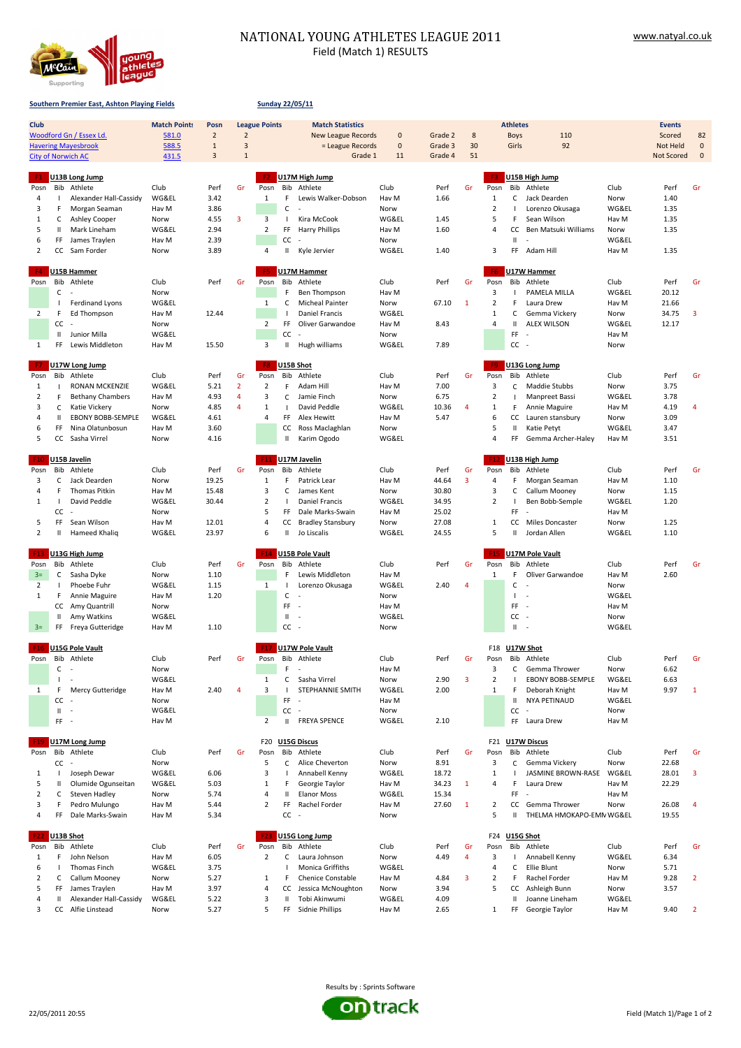

## NATIONAL YOUNG ATHLETES LEAGUE 2011 Field (Match 1) RESULTS

### **Southern Premier East, Ashton Playing Fields**

## **Sunday 22/05/11**

| <b>Club</b>     |              |                            | <b>Match Points</b> | Posn           |                | <b>League Points</b> |               | <b>Match Statistics</b>   |             |         |                         |                | <b>Athletes</b> |                           |       | <b>Events</b>     |                |
|-----------------|--------------|----------------------------|---------------------|----------------|----------------|----------------------|---------------|---------------------------|-------------|---------|-------------------------|----------------|-----------------|---------------------------|-------|-------------------|----------------|
|                 |              | Woodford Gn / Essex Ld.    | 581.0               | $\overline{2}$ | $\overline{2}$ |                      |               | <b>New League Records</b> | $\mathbf 0$ | Grade 2 | 8                       |                | <b>Boys</b>     | 110                       |       | Scored            | 82             |
|                 |              | <b>Havering Mayesbrook</b> | 588.5               | $\mathbf 1$    | $\overline{3}$ |                      |               | = League Records          | $\mathbf 0$ | Grade 3 | 30                      |                | Girls           | 92                        |       | Not Held          | $\mathbf 0$    |
|                 |              | <b>City of Norwich AC</b>  | 431.5               | 3              | $\mathbf{1}$   |                      |               | Grade 1                   | 11          | Grade 4 | 51                      |                |                 |                           |       | <b>Not Scored</b> | $\mathbf 0$    |
|                 |              | U13B Long Jump             |                     |                |                | F <sub>2</sub>       |               | U17M High Jump            |             |         |                         | F3.            |                 | U15B High Jump            |       |                   |                |
| Posn            |              | Bib Athlete                | Club                | Perf           | Gr             | Posn                 | Bib           | Athlete                   | Club        | Perf    | Gr                      | Posn           | Bib             | Athlete                   | Club  | Perf              | Gr             |
| 4               |              |                            | WG&EL               | 3.42           |                | 1                    | F             | Lewis Walker-Dobson       | Hav M       | 1.66    |                         |                | с               | Jack Dearden              | Norw  | 1.40              |                |
|                 |              | Alexander Hall-Cassidy     |                     |                |                |                      |               |                           |             |         |                         | $\mathbf{1}$   | J.              |                           |       |                   |                |
| 3               | F            | Morgan Seaman              | Hav M               | 3.86           |                |                      | c             |                           | Norw        |         |                         | $\overline{2}$ |                 | Lorenzo Okusaga           | WG&EL | 1.35              |                |
| 1               | с            | Ashley Cooper              | Norw                | 4.55           | 3              | 3                    |               | Kira McCook               | WG&EL       | 1.45    |                         | 5              | F               | Sean Wilson               | Hav M | 1.35              |                |
| 5               | Ш            | Mark Lineham               | WG&EL               | 2.94           |                | $\overline{2}$       | FF            | <b>Harry Phillips</b>     | Hav M       | 1.60    |                         | $\overline{4}$ | СC              | Ben Matsuki Williams      | Norw  | 1.35              |                |
| 6               | FF           | James Traylen              | Hav M               | 2.39           |                |                      | СC            |                           | Norw        |         |                         |                | Ш               |                           | WG&EL |                   |                |
| 2               | cc           | Sam Forder                 | Norw                | 3.89           |                | 4                    | Ш.            | Kyle Jervier              | WG&EL       | 1.40    |                         | 3              | FF              | Adam Hill                 | Hav M | 1.35              |                |
|                 |              |                            |                     |                |                |                      |               |                           |             |         |                         |                |                 |                           |       |                   |                |
|                 |              | U15B Hammer                |                     |                |                | F5                   |               | U17M Hammer               |             |         |                         | F <sub>6</sub> |                 | U17W Hammer               |       |                   |                |
| Posn            |              | Bib Athlete                | Club                | Perf           | Gr             | Posn                 |               | Bib Athlete               | Club        | Perf    | Gr                      | Posn           |                 | Bib Athlete               | Club  | Perf              | Gr             |
|                 | с            |                            | Norw                |                |                |                      | F             | Ben Thompson              | Hav M       |         |                         | 3              |                 | PAMELA MILLA              | WG&EL | 20.12             |                |
|                 |              | Ferdinand Lyons            | WG&EL               |                |                | 1                    | с             | <b>Micheal Painter</b>    | Norw        | 67.10   | 1                       | $\overline{2}$ | F               | Laura Drew                | Hav M | 21.66             |                |
| $\overline{2}$  | F            | Ed Thompson                | Hav M               | 12.44          |                |                      |               | <b>Daniel Francis</b>     | WG&EL       |         |                         | $1\,$          | с               | Gemma Vickery             | Norw  | 34.75             | 3              |
|                 | СC           | $\overline{\phantom{a}}$   | Norw                |                |                | $\overline{2}$       | FF.           | Oliver Garwandoe          | Hav M       | 8.43    |                         | $\overline{4}$ | $\mathbf{I}$    | <b>ALEX WILSON</b>        | WG&EL | 12.17             |                |
|                 | Ш            | Junior Milla               | WG&EL               |                |                |                      | CC            |                           | Norw        |         |                         |                | FF              |                           | Hav M |                   |                |
| $\mathbf{1}$    | FF           | Lewis Middleton            | Hav M               | 15.50          |                | 3                    | $\mathbf{II}$ | Hugh williams             | WG&EL       | 7.89    |                         |                | CC              |                           | Norw  |                   |                |
|                 |              |                            |                     |                |                |                      |               |                           |             |         |                         |                |                 |                           |       |                   |                |
| -67             |              | U17W Long Jump             |                     |                |                | F <sub>8</sub>       |               | U15B Shot                 |             |         |                         | F9             |                 | U13G Long Jump            |       |                   |                |
| Posn            | Bib          | Athlete                    | Club                | Perf           | Gr             | Posn                 | Bib           | Athlete                   | Club        | Perf    | Gr                      | Posn           | Bib             | Athlete                   | Club  | Perf              | Gr             |
| 1               | -1           | <b>RONAN MCKENZIE</b>      | WG&EL               | 5.21           | $\overline{2}$ | $\overline{2}$       | F             | Adam Hill                 | Hav M       | 7.00    |                         | 3              | с               | Maddie Stubbs             | Norw  | 3.75              |                |
| $\overline{2}$  | F            | <b>Bethany Chambers</b>    | Hav M               | 4.93           | $\overline{4}$ | 3                    | C             | Jamie Finch               | Norw        | 6.75    |                         | $\overline{2}$ |                 | Manpreet Bassi            | WG&EL | 3.78              |                |
| 3               | С            | Katie Vickery              | Norw                | 4.85           | $\overline{4}$ | $1\,$                |               | David Peddle              | WG&EL       | 10.36   | 4                       | $1\,$          | F               | Annie Maguire             | Hav M | 4.19              | $\overline{4}$ |
| 4               | Ш            | EBONY BOBB-SEMPLE          | WG&EL               | 4.61           |                | 4                    | FF            | Alex Hewitt               | Hav M       | 5.47    |                         | 6              | CC              | Lauren stansbury          | Norw  | 3.09              |                |
| 6               | FF           | Nina Olatunbosun           | Hav M               | 3.60           |                |                      | cc            | Ross Maclaghlan           | Norw        |         |                         | 5              | Ш               | Katie Petyt               | WG&EL | 3.47              |                |
| 5               | СC           | Sasha Virrel               | Norw                | 4.16           |                |                      | Ш             | Karim Ogodo               | WG&EL       |         |                         | $\overline{4}$ | FF              | Gemma Archer-Haley        | Hav M | 3.51              |                |
|                 |              |                            |                     |                |                |                      |               |                           |             |         |                         |                |                 |                           |       |                   |                |
|                 |              | U15B Javelin               |                     |                |                | F11                  |               | U17M Javelin              |             |         |                         |                |                 | U13B High Jump            |       |                   |                |
| Posn            | Bib          | Athlete                    | Club                | Perf           | Gr             | Posn                 | Bib           | Athlete                   | Club        | Perf    | Gr                      | Posn           | Bib             | Athlete                   | Club  | Perf              | Gr             |
| 3               | с            | Jack Dearden               | Norw                | 19.25          |                | 1                    | F             | Patrick Lear              | Hav M       | 44.64   | 3                       | 4              | F               | Morgan Seaman             | Hav M | 1.10              |                |
| 4               | F            | <b>Thomas Pitkin</b>       | Hav M               | 15.48          |                | 3                    | С             | James Kent                | Norw        | 30.80   |                         | 3              | С               | Callum Mooney             | Norw  | 1.15              |                |
| 1               | п.           | David Peddle               | WG&EL               | 30.44          |                | $\overline{2}$       |               | Daniel Francis            | WG&EL       | 34.95   |                         | $\overline{2}$ |                 | Ben Bobb-Semple           | WG&EL | 1.20              |                |
|                 |              |                            |                     |                |                |                      |               |                           |             |         |                         |                |                 |                           |       |                   |                |
|                 | $CC -$       |                            | Norw                |                |                | 5                    | FF            | Dale Marks-Swain          | Hav M       | 25.02   |                         |                | FF              | ÷,                        | Hav M |                   |                |
| 5               | FF           | Sean Wilson                | Hav M               | 12.01          |                | 4                    | CC            | <b>Bradley Stansbury</b>  | Norw        | 27.08   |                         | $\mathbf{1}$   | СC              | Miles Doncaster           | Norw  | 1.25              |                |
| $\overline{2}$  | Ш            | Hameed Khaliq              | WG&EL               | 23.97          |                | 6                    | Ш.            | Jo Liscalis               | WG&EL       | 24.55   |                         | 5              | Ш               | Jordan Allen              | WG&EL | 1.10              |                |
| -13             |              | U13G High Jump             |                     |                |                | F14                  |               | U15B Pole Vault           |             |         |                         |                |                 | U17M Pole Vault           |       |                   |                |
| Posn            | Bib          | Athlete                    | Club                | Perf           | Gr             | Posn                 |               | Bib Athlete               | Club        | Perf    | Gr                      | Posn           | Bib             | Athlete                   | Club  | Perf              | Gr             |
|                 |              |                            |                     |                |                |                      | F             |                           |             |         |                         |                | Ē               | Oliver Garwandoe          |       |                   |                |
| $3=$            | Č            | Sasha Dyke                 | Norw                | 1.10           |                |                      |               | Lewis Middleton           | Hav M       |         |                         | 1              |                 |                           | Hav M | 2.60              |                |
| $\overline{2}$  | -1           | Phoebe Fuhr                | WG&EL               | 1.15           |                | $\mathbf{1}$         |               | Lorenzo Okusaga           | WG&EL       | 2.40    | $\overline{4}$          |                | $\mathsf{C}$    |                           | Norw  |                   |                |
| $\mathbf{1}$    | F            | Annie Maguire              | Hav M               | 1.20           |                |                      | $\mathsf{C}$  | ÷,                        | Norw        |         |                         |                | $\mathbf{I}$    |                           | WG&EL |                   |                |
|                 | СC           | Amy Quantrill              | Norw                |                |                |                      | FF.           | ÷,                        | Hav M       |         |                         |                | FF              | ÷.                        | Hav M |                   |                |
|                 | Ш            | Amy Watkins                | WG&EL               |                |                |                      | $\mathbf{II}$ | ÷,                        | WG&EL       |         |                         |                | cc              | ٠.                        | Norw  |                   |                |
| $3=$            | FF           | Freya Gutteridge           | Hav M               | 1.10           |                |                      | $CC -$        |                           | Norw        |         |                         |                | $\mathbf{H}$    | $\overline{\phantom{a}}$  | WG&EL |                   |                |
|                 |              |                            |                     |                |                |                      |               |                           |             |         |                         |                |                 |                           |       |                   |                |
| F <sub>16</sub> |              | U15G Pole Vault            |                     |                |                |                      |               | U17W Pole Vault           |             |         |                         | F18            |                 | U17W Shot                 |       |                   |                |
| Posn            |              | Bib Athlete                | Club                | Perf           | Gr             | Posn                 |               | Bib Athlete               | Club        | Perf    | Gr                      | Posn           |                 | Bib Athlete               | Club  | Perf              | Gr             |
|                 | C            | ٠                          | Norw                |                |                |                      | F             |                           | Hav M       |         |                         | 3              | С               | Gemma Thrower             | Norw  | 6.62              |                |
|                 | $\mathbf{I}$ | $\overline{\phantom{a}}$   | WG&EL               |                |                | 1                    | C             | Sasha Virrel              | Norw        | 2.90    | $\overline{\mathbf{3}}$ | $\overline{2}$ |                 | <b>EBONY BOBB-SEMPLE</b>  | WG&EL | 6.63              |                |
| $\mathbf{1}$    | F            | Mercy Gutteridge           | Hav M               | 2.40           | $\overline{4}$ | 3                    |               | STEPHANNIE SMITH          | WG&EL       | 2.00    |                         | $1\,$          | F               | Deborah Knight            | Hav M | 9.97              | $\mathbf{1}$   |
|                 | cc           | $\overline{\phantom{a}}$   | Norw                |                |                |                      | FF            | ÷,                        | Hav M       |         |                         |                | $\mathbf{I}$    | NYA PETINAUD              | WG&EL |                   |                |
|                 | Ш            | $\overline{\phantom{a}}$   | WG&EL               |                |                |                      | $CC -$        |                           | Norw        |         |                         |                | cc              | ÷,                        | Norw  |                   |                |
|                 | FF -         |                            | Hav M               |                |                | $\overline{2}$       | Ш.            | <b>FREYA SPENCE</b>       | WG&EL       | 2.10    |                         |                |                 | FF Laura Drew             | Hav M |                   |                |
|                 |              |                            |                     |                |                |                      |               |                           |             |         |                         |                |                 |                           |       |                   |                |
|                 |              | U17M Long Jump             |                     |                |                |                      |               | F20 U15G Discus           |             |         |                         | F21            |                 | <b>U17W Discus</b>        |       |                   |                |
| Posn            |              | Bib Athlete                | Club                | Perf           | Gr             | Posn                 |               | Bib Athlete               | Club        | Perf    | Gr                      | Posn           |                 | Bib Athlete               | Club  | Perf              | Gr             |
|                 | $CC -$       |                            | Norw                |                |                | 5                    | C             | Alice Cheverton           | Norw        | 8.91    |                         | 3              | с               | Gemma Vickery             | Norw  | 22.68             |                |
| 1               | $\mathbf{L}$ | Joseph Dewar               | WG&EL               | 6.06           |                | 3                    |               | Annabell Kenny            | WG&EL       | 18.72   |                         | $\mathbf{1}$   |                 | <b>JASMINE BROWN-RASE</b> | WG&EL | 28.01             | 3              |
| 5               | Ш            | Olumide Ogunseitan         | WG&EL               | 5.03           |                | $\,1\,$              | F             | Georgie Taylor            | Hav M       | 34.23   | 1                       | 4              | F               | Laura Drew                | Hav M | 22.29             |                |
| $\overline{2}$  | с            | Steven Hadley              | Norw                | 5.74           |                | 4                    | Ш             | <b>Elanor Moss</b>        | WG&EL       | 15.34   |                         |                | FF              |                           | Hav M |                   |                |
| 3               | F            | Pedro Mulungo              | Hav M               | 5.44           |                | $\overline{2}$       | FF            | Rachel Forder             | Hav M       | 27.60   | $\mathbf{1}$            | $\overline{2}$ |                 | CC Gemma Thrower          | Norw  | 26.08             | $\overline{4}$ |
| 4               | FF           | Dale Marks-Swain           | Hav M               | 5.34           |                |                      | cc            | J.                        | Norw        |         |                         | 5              | Ш               | THELMA HMOKAPO-EMN WG&EL  |       | 19.55             |                |
|                 |              |                            |                     |                |                |                      |               |                           |             |         |                         |                |                 |                           |       |                   |                |
| F <sub>22</sub> |              | U13B Shot                  |                     |                |                | <b>F23</b>           |               | U15G Long Jump            |             |         |                         | F24            |                 | U15G Shot                 |       |                   |                |
| Posn            |              | Bib Athlete                | Club                | Perf           | Gr             | Posn                 |               | Bib Athlete               | Club        | Perf    | Gr                      | Posn           |                 | Bib Athlete               | Club  | Perf              | Gr             |
| 1               | F            | John Nelson                | Hav M               | 6.05           |                | $\overline{2}$       | C             | Laura Johnson             | Norw        | 4.49    | $\overline{4}$          | 3              |                 | Annabell Kenny            | WG&EL | 6.34              |                |
| 6               | -1           | Thomas Finch               | WG&EL               | 3.75           |                |                      |               | Monica Griffiths          | WG&EL       |         |                         | 4              | c               | Ellie Blunt               | Norw  | 5.71              |                |
| 2               | С            | Callum Mooney              | Norw                | 5.27           |                | $\mathbf{1}$         | F             | Chenice Constable         | Hav M       | 4.84    | 3                       | $\overline{2}$ | F               | Rachel Forder             | Hav M | 9.28              | $\overline{2}$ |
| 5               | FF           | James Traylen              | Hav M               | 3.97           |                | 4                    | СC            | Jessica McNoughton        | Norw        | 3.94    |                         | 5              | CC              | Ashleigh Bunn             | Norw  | 3.57              |                |
| 4               | Ш            | Alexander Hall-Cassidy     | WG&EL               | 5.22           |                | 3                    | Ш             | Tobi Akinwumi             | WG&EL       | 4.09    |                         |                | Ш               | Joanne Lineham            | WG&EL |                   |                |
| 3               |              | CC Alfie Linstead          | Norw                | 5.27           |                | 5                    |               | FF Sidnie Phillips        | Hav M       | 2.65    |                         | $\mathbf{1}$   |                 | FF Georgie Taylor         | Hav M | 9.40              | $\overline{2}$ |
|                 |              |                            |                     |                |                |                      |               |                           |             |         |                         |                |                 |                           |       |                   |                |



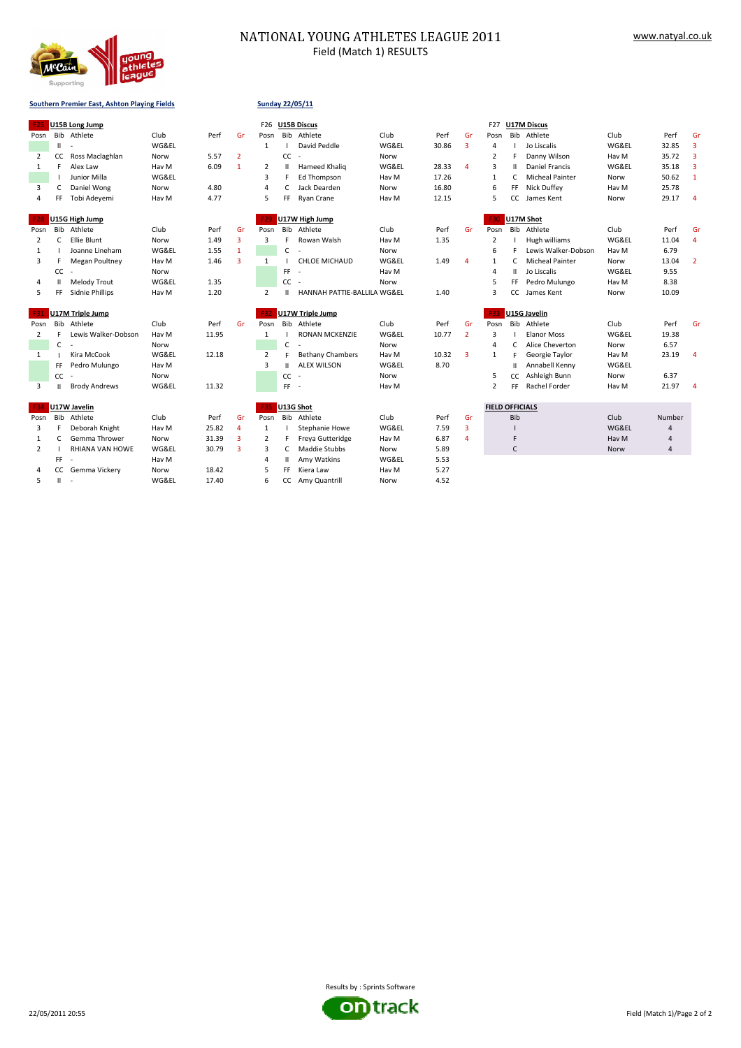

## NATIONAL YOUNG ATHLETES LEAGUE 2011 Field (Match 1) RESULTS

## **Southern Premier East, Ashton Playing Fields Sunday 22/05/11**

|                |              | U15B Long Jump           |       |       |                | F26          |              | <b>U15B Discus</b>          |       |       |                | F27                    |     | <b>U17M Discus</b>     |       |                |                |
|----------------|--------------|--------------------------|-------|-------|----------------|--------------|--------------|-----------------------------|-------|-------|----------------|------------------------|-----|------------------------|-------|----------------|----------------|
| Posn           |              | Bib Athlete              | Club  | Perf  | Gr             | Posn         |              | Bib Athlete                 | Club  | Perf  | Gr             | Posn                   |     | Bib Athlete            | Club  | Perf           | G              |
|                | Ш            |                          | WG&EL |       |                | 1            |              | David Peddle                | WG&EL | 30.86 | 3              | 4                      |     | Jo Liscalis            | WG&EL | 32.85          | 3              |
| $\overline{2}$ |              | CC Ross Maclaghlan       | Norw  | 5.57  | $\overline{2}$ |              | cc           | J.                          | Norw  |       |                | 2                      |     | Danny Wilson           | Hav M | 35.72          | 3              |
| $\mathbf{1}$   |              | Alex Law                 | Hav M | 6.09  | $\mathbf{1}$   | 2            | Ш.           | Hameed Khalig               | WG&EL | 28.33 | 4              | 3                      |     | Daniel Francis         | WG&EL | 35.18          | $\overline{3}$ |
|                |              | Junior Milla             | WG&EL |       |                | 3            | F            | Ed Thompson                 | Hav M | 17.26 |                | $\mathbf{1}$           | c   | <b>Micheal Painter</b> | Norw  | 50.62          | $\mathbf{1}$   |
| 3              | C.           | Daniel Wong              | Norw  | 4.80  |                | 4            | C            | Jack Dearden                | Norw  | 16.80 |                | 6                      | FF. | <b>Nick Duffey</b>     | Hav M | 25.78          |                |
| $\overline{4}$ | FF           | Tobi Adeyemi             | Hav M | 4.77  |                | 5            | FF.          | Ryan Crane                  | Hav M | 12.15 |                | 5                      |     | CC James Kent          | Norw  | 29.17          | $\overline{4}$ |
|                |              | U15G High Jump           |       |       |                |              |              | U17W High Jump              |       |       |                |                        |     | U17M Shot              |       |                |                |
| Posn           |              | Bib Athlete              | Club  | Perf  | Gr             | Posn         |              | Bib Athlete                 | Club  | Perf  | Gr             | Posn                   |     | Bib Athlete            | Club  | Perf           | Gr             |
| 2              | C            | Ellie Blunt              | Norw  | 1.49  | 3              | 3            | F.           | Rowan Walsh                 | Hav M | 1.35  |                | 2                      |     | Hugh williams          | WG&EL | 11.04          | $\overline{4}$ |
| 1              |              | Joanne Lineham           | WG&EL | 1.55  | 1              |              | $\mathsf{C}$ |                             | Norw  |       |                | 6                      |     | Lewis Walker-Dobson    | Hav M | 6.79           |                |
| 3              |              | <b>Megan Poultney</b>    | Hav M | 1.46  | $\overline{3}$ | $\mathbf{1}$ |              | <b>CHLOE MICHAUD</b>        | WG&EL | 1.49  | $\overline{4}$ | $\mathbf{1}$           | c   | <b>Micheal Painter</b> | Norw  | 13.04          | $\overline{2}$ |
|                | cc           | $\overline{\phantom{a}}$ | Norw  |       |                |              | FF.          | ٠.                          | Hav M |       |                | 4                      | п   | Jo Liscalis            | WG&EL | 9.55           |                |
| 4              |              | Melody Trout             | WG&EL | 1.35  |                |              | $CC -$       |                             | Norw  |       |                | 5                      | FF. | Pedro Mulungo          | Hav M | 8.38           |                |
| 5              | FF.          | Sidnie Phillips          | Hav M | 1.20  |                | 2            | $\mathbf{H}$ | HANNAH PATTIE-BALLILA WG&EL |       | 1.40  |                | 3                      |     | CC James Kent          | Norw  | 10.09          |                |
|                |              | U17M Triple Jump         |       |       |                |              |              | U17W Triple Jump            |       |       |                |                        |     | U15G Javelin           |       |                |                |
| Posn           |              | Bib Athlete              | Club  | Perf  | Gr             | Posn         |              | Bib Athlete                 | Club  | Perf  | Gr             | Posn                   |     | Bib Athlete            | Club  | Perf           | Gr             |
| 2              |              | Lewis Walker-Dobson      | Hav M | 11.95 |                | 1            |              | <b>RONAN MCKENZIE</b>       | WG&EL | 10.77 | $\overline{2}$ | 3                      |     | <b>Elanor Moss</b>     | WG&EL | 19.38          |                |
|                | C            | $\overline{\phantom{a}}$ | Norw  |       |                |              | C            |                             | Norw  |       |                | 4                      | C   | Alice Cheverton        | Norw  | 6.57           |                |
| 1              |              | Kira McCook              | WG&EL | 12.18 |                | 2            | F            | <b>Bethany Chambers</b>     | Hav M | 10.32 | 3              | 1                      |     | Georgie Taylor         | Hav M | 23.19          |                |
|                | FF.          | Pedro Mulungo            | Hav M |       |                | 3            | $\mathbf{H}$ | <b>ALEX WILSON</b>          | WG&EL | 8.70  |                |                        | Ш   | Annabell Kenny         | WG&EL |                |                |
|                | $CC -$       |                          | Norw  |       |                |              | $CC -$       |                             | Norw  |       |                | 5                      | CC  | Ashleigh Bunn          | Norw  | 6.37           |                |
| 3              | $\mathbf{H}$ | <b>Brody Andrews</b>     | WG&EL | 11.32 |                |              | FF -         |                             | Hav M |       |                | 2                      |     | FF Rachel Forder       | Hav M | 21.97          | $\overline{a}$ |
|                |              | U17W Javelin             |       |       |                |              |              | U13G Shot                   |       |       |                | <b>FIELD OFFICIALS</b> |     |                        |       |                |                |
| Posn           |              | Bib Athlete              | Club  | Perf  | Gr             | Posn         |              | Bib Athlete                 | Club  | Perf  | Gr             |                        | Bib |                        | Club  | Number         |                |
| 3              |              | Deborah Knight           | Hav M | 25.82 | $\overline{4}$ | 1            |              | Stephanie Howe              | WG&EL | 7.59  | 3              |                        |     |                        | WG&EL | $\overline{4}$ |                |
| 1              |              | Gemma Thrower            | Norw  | 31.39 | 3              | 2            |              | Freya Gutteridge            | Hav M | 6.87  | 4              |                        | F   |                        | Hav M | 4              |                |
| $\overline{2}$ |              | RHIANA VAN HOWE          | WG&EL | 30.79 | $\overline{3}$ | 3            | C.           | <b>Maddie Stubbs</b>        | Norw  | 5.89  |                |                        | C   |                        | Norw  | $\overline{4}$ |                |
|                | FF           |                          | Hav M |       |                | 4            | Ш            | Amy Watkins                 | WG&EL | 5.53  |                |                        |     |                        |       |                |                |
| 4              |              | Gemma Vickery            | Norw  |       |                |              |              |                             |       |       |                |                        |     |                        |       |                |                |
|                | CC           |                          |       | 18.42 |                | 5            | FF.          | Kiera Law                   | Hav M | 5.27  |                |                        |     |                        |       |                |                |